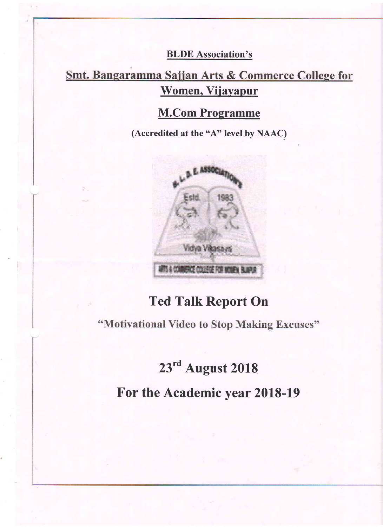#### BLDE Association's

## Smt. Bangaramma Sajjan Arts & Commerce College for Women, Vijayapur

### M.Com Programme

(Accredited at the "A" level by NAAC)



## Ted Talk Report On

"Motivational Video to Stop Making Excuses"

## 23rd August 2018

For the Academic year 2018-19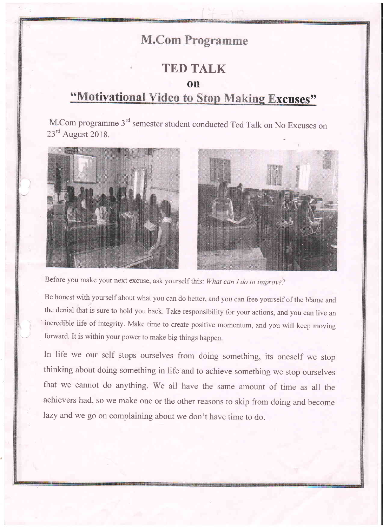## **M.Com Programme**

#### TED TALK

on

# "Motivational Video to Stop Making Excuses"

M.Com programme 3<sup>rd</sup> semester student conducted Ted Talk on No Excuses on 23<sup>rd</sup> August 2018.





Before you make your next excuse, ask yourself this: What can I do to improve?

Be honest with yourself about what you can do better, and you can free yourself of the blame and the denial that is sure to hold you back. Take responsibility for your actions, and you can live an ' incredible life of integrity. Make time to create positive momentum, and you will keep moving forward. It is within your power to make big things happen.

In life we our self stops ourselves from doing something, its oneself we stop thinking about doing something in life and to achieve something we stop ourselves that we cannot do anything. We all have the same amount of time as all the achievers had, so we make one or the other reasons to skip from doing and become lazy and we go on complaining about we don't have time to do.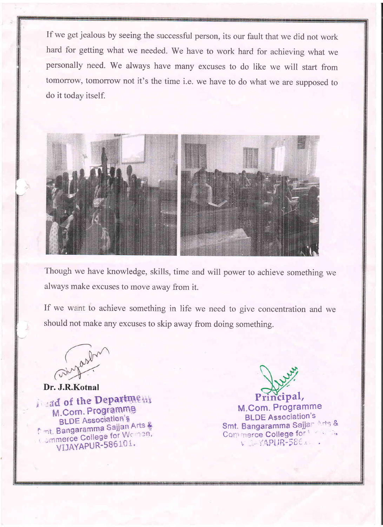If we get jealous by seeing the successful person, its our fault that we did not work hard for getting what we needed. We have to work hard for achieving what we personally need. We always have many excuses to do like we will start from tomorrow, tomorrow not it's the time i.e. we have to do what we are supposed to do it today itself.



Though we have knowledge, skills, time and will power to achieve something we always make excuses to move away from it.

If we want to achieve something in life we need to give concentration and we should not make any excuses to skip away from doing something.

Dr. J.R.Kotnal<br>*i* sad of the Department M.Com. Programme **BLDE Association's** BLDE Association<br>Timt, Bangaramma Sajjan Arts & nt, Bangaramma Sajjanom.<br>Commerce College for Woman, merce College ton 101.

Principal,

M.Com. Programme **BLDE** Association's Smt. Bangaramma Sajjan Arts & Commerce College for \ \ \ \